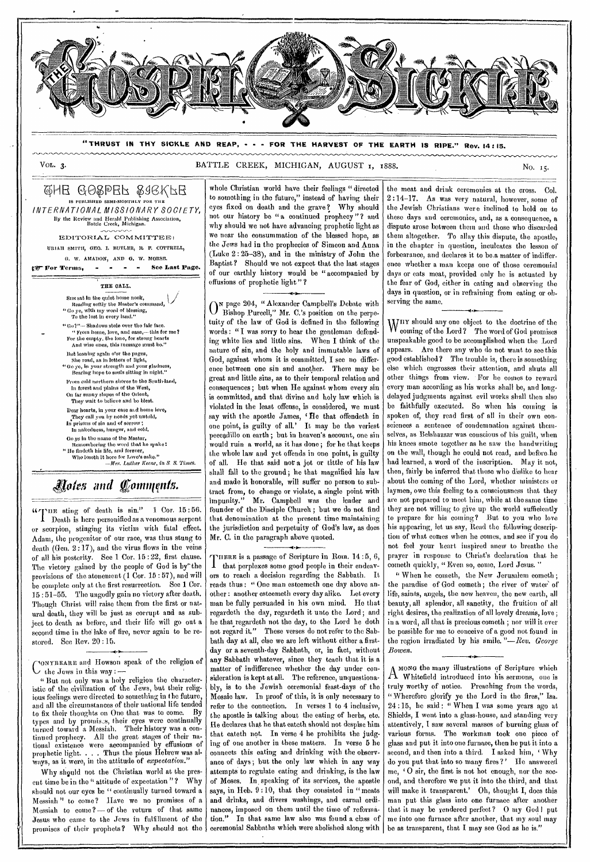

**"THRUST IN THY SICKLE AND REAP, - - - FOR THE HARVEST OF THE EARTH IS RIPE." Rev. 14 : 15.** 

### VOL. 3. BATTLE CREEK, MICHIGAN, AUGUST 1, 1888.

### QHE GOSPER SIGKFE IS PUBLISHED SEMI-MONTHLY FOR THE *INTERNATIONAL MISSIONARY SOCIETY, By* the Review and Herald Publishing Association, Battle Creek, Michigan. EDITORIAL COMMITTEE: URIAH SMITH, GEO. I. BUTLER, R. F. COTTRELL, 0. W. AMADON, AND G. W. MORSE. W For Terms, was a men See Last Page. THE CALL. Sus sat in the quiet home nook,<br>Reading softly the Master's command,<br>"Go ye, with my word of blessing,<br>To the lost in every land."  $``\rm{Go2}''-$  Shadows stole over the fair face. " From home, love, and ease,— this for me? For the empty, the lone, for strong hearts And wisp ones, this message must be."

But loaning again o'er the pages, She road, as in letters of light, "Co ye, in your strength and your gladness, Bearing hope to souls sitting in night." From cold northern shores to the South-land,

In forest and plains of the West, On far sunny slopes of the Orient, They wait to believe and be blest. Dear hearts, in your ease and home love,<br>—They call you by needs yet untold,<br>In prisons of sin and of sorrow ; In nakedness, hunger, and cold.

Go *ye* In the name of the Master,

Remembering the word that ho spake:<br> *Remember in the file, and forever,*<br> *Who losoth it here for Love's sake,"*<br> *Mo losoth it here for Luther Keene, in S. S. Times.* 

## *fteles and (Comq nis.*

WITHE sting of death is sin." 1 Cor. 15:56.<br>
Death is here personified as a venomous serpent or scorpion, stinging its victim with fatal effect. Adam, the progenitor of our race, was thus stung to death (Gen. 2:17), and the virus flows in the veins of all his posterity. See 1 Cor. 15:22, first clause. The victory gained by the people of God is by the provisions of the atonement (1 Cor. 15 : 57), and will be complete only at the first resurrection. See 1 Cor. 15 : 51-55. The ungodly gain no victory after death. Though Christ will raise them from the first or natural death, they will be just as corrupt and as subject to death as before, and their life will go out a second time in the lake of fire, never again to be restored. See Rev. 20 : 15.

cONYBEARE and Howson speak of the religion of  $\bigcup$  the Jews in this way :  $\cdot$ 

t' But not only was a holy religion the characteristic of the civilization of the Jews, but their religious feelings were directed to something in the future, and all the circumstances of their national life tended to fix their thoughts on One that was to come. types and by promists, their eyes were continually turned toward a Messiah. Their history was a continued prophecy. All the great stages of their national existence were accompanied by effusions of prophetic light. . . Thus the pious Hebrew was always, as it were, in the attitude of *expectation."* 

Why should not the Christian world at the present time be in the " attitude of expectation "? Why should not our eyes be " continually turned toward a Messiah" to come? Have we no promises of a Messiah to come ? — of the return of that same Jesus who came to the Jews in fulfillment of the promises of their prophets? Why should not the

whole Christian world have their feelings " directed to something in the future," instead of having their eyes fixed on death and the grave? Why should not our history be "a continued prophecy"? and why should we not have advancing prophetic light as we near the consummation of the blessed hope, as the Jews had in the prophecies of Simeon and Anna (Luke 2: 25-38), and in the ministry of John the Baptist? Should we not expect that the last stages of our earthly history would be " accompanied by effusions of prophetic light " ?

O<sup>N</sup> page 204, "Alexander Campbell's Debate with<br>O Bishop Purcell," Mr. C.'s position on the perpe-Bishop Purcell," Mr. C.'s position on the perpetuity of the law of God is defined in the following words : " I was sorry to hear the gentleman defending white lies and little sins. When I think of the nature of sin, and the holy and immutable laws of God, against whom it is committed, I see no difference between one sin and another. There may be great and little sins, as to their temporal relation and consequences ; but when He against whom every sin is committed, and that divine and holy law which is violated in the least offense, is considered, we must say with the apostle James, 'He that offendeth in one point, is guilty of all.' It may be the veriest peccadillo on earth ; but in heaven's account, one sin would ruin a world, as it has done ; for he that keeps the whole law and yet offends in one point, is guilty of all. He that said not a jot or tittle of his law shall fall to the ground; he that magnified his law and made it honorable, will suffer no person to subtract from, to change or violate, a single point with impunity." Mr. Campbell was the leader and founder of the Disciple Church ; but we do not find that denomination at the present time maintaining the jurisdiction and perpetuity of God's law, as does Mr. C. in the paragraph above quoted.

10. THERE is a passage of Scripture in Rom. 14:5, 6, that perplexes some good people in their endeavors to reach a decision regarding the Sabbath. It reads thus : " One man esteemeth one day above another : another esteemeth every day alike. Let every man be fully persuaded in his own mind. He that regardeth the day, regardeth it unto the Lord ; and he that regardeth not the day, to the Lord he doth not regard it." These verses do not refer to the Sabbath day at all, else we are left without either a firstday or a seventh-day Sabbath, or, in fact, without any Sabbath whatever, since they teach that it is a matter of indifference whether the day under consideration is kept at all. The reference, unquestionably, is to the Jewish ceremonial feast-days of the Mosaic law. In proof of this, it is only necessary to refer to the connection. In verses 1 to 4 inclusive, the apostle is talking about the eating of herbs, etc. He declares that he that eateth should not despise him that eateth not. In verse 4 he prohibits the judging of one another in these matters. In verse 5 he connects this eating and drinking with the observance of days; but the only law which in any way attempts to regulate eating and drinking, is the law of Moses. In speaking of its services, the apostle says, in Heb. 9:10, that they consisted in "meats and drinks, and divers washings, and carnal ordinances, imposed on them until the time of reformation." In that same law also was found a class of ceremonial Sabbaths which were abolished along with

the meat and drink ceremonies at the cross. Col. 2 :14-17. As was very natural, however, some of the Jewish Christians were inclined to hold on to these days and ceremonies, and, as a consequence, a dispute arose between them and those who discarded them altogether. To allay this dispute, the apostle, in the chapter in question, inculcates the lesson of forbearance, and declares it to be.a matter of indifference whether a man keeps one of those ceremonial days or eats meat, provided only he is actuated by the fear of God, either in eating and observing the days in question, or in refraining from eating or observing the same.

ar

WHY should any one object to the doctrine of the coming of the Lord? The word of God promises unspeakable good to be accomplished when the Lord appears. Are there any who do not want to see this good established ? The trouble is, there is something else which engrosses their attention, and shuts all other things from view. For he comes to reward every man according as his works shall be, and longdelayed judgments against evil works shall then also be faithfully executed. So when his coming is spoken of, they read first of all in their own consciences a sentence of condemnation against themselves, as Belshazzar was conscious of his guilt, when his knees smote together as be saw the handwriting on the wall, though he could not read, and before. he had learned, a word of the inscription. May it not, then, fairly be inferred that those who dislike to hear about the coming of the Lord, whether ministers or laymen, owe this feeling to a consciousness that they are not prepared to meet him, while at the same time they are not willing to give up the world sufficiently to prepare for his coming? But to you who love his appearing, let us say, Read the following description of what comes when he comes, and see if you do not feel your heart inspired anew to breathe the prayer in response to Christ's declaration that he cometh quickly, " Even so, come, Lord Jesus. '

" When he cometh, the New Jerusalem cometh ; the paradise of God cometh; the river of water of life, saints, angels, the new heaven, the new earth, all beauty, all splendor, all sanctity, the fruition of all right desires, the realization of all lovely dreanis, love ; in a word, all that is precious cometh ; nor will it ever be possible for me to conceive of a good not found in the region irradiated by his smile. *"—Rev. George Bowen.* 

MONG the many illustrations of Scripture which A Whitefield introduced into his sermons, one is truly worthy of notice. Preaching from the words, " Wherefore glorify ye the Lord in the fires," Isa. 24 :15, he said : " When I was some years ago at Shields, I went into a glass-house, and standing very attentively, I saw several masses of burning glass of various forms. The workman took one piece of glass and put it into one furnace, then he put it into a second, and then into a third. I asked him, 'Why do you put that into so many fires?' He answered me, 'O sir, the first is not hot enough, nor the second, and therefore we put it into the third, and that will make it transparent.' Oh, thought I, does this man put this glass into one furnace after another that it may be rendered perfect? O my God! put me into one furnace after another, that my soul may be as transparent, that I may see God as he is."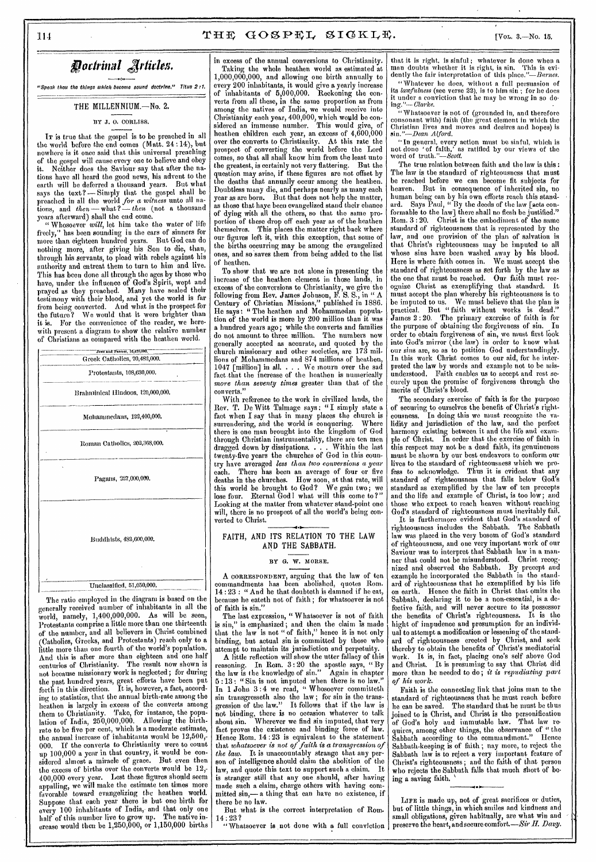### Doctrinal Articles.

*°Speak thou the things which become sound doctrine," Titus 2:1.* 

### THE MILLENNIUM.—No. 2.

### BY J.O. CORLISS.

IT is true that the gospel is to be preached in all the world before the end comes (Matt. 24:14), but nowhere is it once said that this universal preaching of the gospel will cause every one to believe and obey it. Neither does the Saviour say that after the nations have all heard the good news, his advent to the earth will be deferred a thousand years. But what says the text? — Simply that the gospel shall be preached in all the world *for a witness* unto all nations, and *then —* what ? — *then* (not a thousand years afterward) shall the end come.

" Whosoever *will,* let him take the water of life freely," has been sounding in the ears of sinners for more than eighteen hundred years. But God can do nothing more, after giving his Son to die, than, through his servants, to plead with rebels against his authority and entreat them to turn to him and live. This has been done all through the ages by those who have, under the influence of God's Spirit, wept and prayed as they preached. Many have sealed their testimony with their blood, and yet the world is far from being converted. And what is the prospect for the future? We would that it were brighter than it is. For the convenience of the reader, we herewith present a diagram to show the relative number of Christians as compared with the heathen world.



The ratio employed in the diagram is based on the generally received number of inhabitants in all the world, namely, 1,400,000,000. As will be seen, Protestants comprise a little more than one thirteenth of the number, and all believers in Christ combined (Catholics, Greeks, and Protestants) reach only to a little more than one fourth of the world's population. And this is after more than eighteen and one half centuries of Christianity. The result now shown is not because missionary work is neglected; for during the past hundred years, great efforts have been put forth in this direction. It is, however, a fact, according to statistics, that the annual birth-rate among the heathen is largely in excess of the converts among them to Christianity. Take, for instance, the population of India, 250,000,000. Allowing the birthrate to be five per cent, which is a moderate estimate, the annual increase of inhabitants would be  $12{,}500{,}$ -000. If the converts to Christianity were to count up 100,000 a year in that country, it would be considered almost a miracle of grace. But even then the excess of births over the converts would be  $12,$ 400,000 every year. Lest these figures should seem appalling, we will make the estimate ten times more favorable toward evangelizing the heathen world. Suppose that each year there is but one birth for every 100 inhabitants of India, and that only one half of this number live to grow up. The native increase would then be 1,250,000, or 1,150,000 births

in excess of the annual conversions to Christianity. Taking the whole heathen world as estimated at 1,000,000,000, and allowing one birth annually to every 200 inhabitants, it would give a yearly increase of inhabitants of 5,000,000. Reckoning the converts from all these, in the same proportion as from among the natives of India, we would receive into Christianity each year, 400,000, which would be considered an immense number. This would give, of heathen children each year, an excess of 4,600,000 over the converts to Christianity. At this rate the prospect of converting the world before the Lord comes, so that all shall know him from the least unto the greatest, is certainly not very flattering. But the question may arise, if these figures are not offset by the deaths that annually occur among the heathen. Doubtless many die, and perhaps nearly as many each year as are born. But that does not help the matter, as those that haye been evangelized stand their chance of dying with all the others, so that the same proportion of these drop off each year as of the heathen themselves. This places the matter right back where our figures left it, with this exception, that some of the births occurring may be among the evangelized ones, and so saves them from being added to the list of heathen.

To show that we are not alone in presenting the increase of the heathen element in those lands, in excess of the conversions to Christianity, we give the following from Rev. James Johnson, F. S. S., in " A Century of Christian Missions," published in 1886. He says : " The heathen and Mohammedan population of the world is more by 200 million than it was a hundred years ago; while the converts and families do not amount to three million. The numbers now generally accepted as accurate, and quoted by the church missionary and other societies, are 173 millions of Mohammedans and 874 millions of heathen, 1047 [million] in all. . . . We mourn over the sad fact.that the increase of the heathen is numerically *more than seventy times* greater than that of the converts."

With reference to the work in civilized lands, the Rev. T. De Witt Talmage says: "I simply state a fact when I say that in many places the church is surrendering, and the world is conquering. Where there is one man brought into the kingdom of God through Christian instrumentality, there are ten men<br>dragged down by dissipations. . . . Within the last dragged down by dissipations. . . . Within the last twenty-five years the churches of God in this country have averaged *less than two conversions a year*  There has been an average of four or five deaths in the churches. How soon, at that rate, will this world be brought to God? We gain two; we lose four. Eternal Godl what will this come to ?" Looking at the matter from whatever stand-point one will, there is no prospect of all the world's being converted to Christ.

### FAITH, AND ITS RELATION TO THE LAW AND THE SABBATH.

#### BY *G.* W. MORSE.

A CORRESPONDENT, arguing that the law of ten commandments has been abolished, quotes Horn. 14 : 23 : " And he that doubteth is damned if he eat, because he eateth not of faith ; for whatsoever is not of faith is sin."

The last expression, " Whatsoever is not of faith is sin," is emphasized; and then the claim is made that the law is not " of faith," hence it is not only binding, but actual sin is committed by those who attempt to maintain its jurisdiction and perpetuity.

A little reflection will show the utter fallacy of this reasoning. In Rom. 3 : 20 the apostle says, " By the law is the knowledge of sin." Again in chapter 5 :13 : " Sin is not imputed when there is no law." In 1 John 3 :4 we read, " Whosoever cow mitteth sin transgresseth also the law; for sin is the transgression of the law." It follows that if the law is not binding, there is no occasion whatever to talk about sin. Wherever we find sin imputed, that very fact proves the existence and binding force of law. Hence Rom. 14 : 23 is equivalent to the statement that *whatsoever is not of* faith is a transgression of the law. It is unaccountably strange that any per-It is unaccountably strange that any person of intelligence should claim the abolition of the law, and quote this text to support such a claim. It is stranger still that any one should, after having made such a claim, charge others with having committed sin,— a thing that can have no existence, if there be no law.

But what is the correct interpretation of Rom.

14 : 23 ? "Whatsoever is not done with a full conviction

that it is right, is sinful ; whatever is done when a man doubts whether it is right, is sin. This is evidently the fair interpretation of this place."-Barnes.

" Whatever he does, without a full persuasion of its *lawfulness* (see verse 22), is to him sin ; for he does it under a conviction that he may be wrong in so do-ing."-- *Clarke.* 

"Whatsoever is not of (grounded in, and therefore consonant with) faith (the great element in which the Christian lives and moves and desires and hopes) is *sin."—Dean Alford.* 

"In general, every action must be sinful, which is not done 'of faith,' as ratified by our views of the word of truth."—Scott.

The true relation between faith and the law is this : The law is the standard of righteousness that must be reached before we can become fit subjects for But in consequence of inherited sin, no human being can by his own efforts reach this standard. Says Paul, " By the deeds of the law [acts conformable to the law] there shall no flesh be justified." Rom. 3 : 20. Christ is the embodiment of the same standard of righteousness that is represented by the law, and one provision of the plan of salvation is that Christ's righteousness may be imputed to all whose sins have been washed away by his blood. Here is where faith comes in. We must accept the standard of righteousness as set forth by the law as the one that must be reached. Our faith must recognize Christ as exemplifying that standard. It must accept the plan whereby his righteousness is to be imputed to us. We must believe that the plan is practical. But " faith without works is dead." James 2 :20. The primary exercise of faith is for the purpose of obtaining the forgiveness of sin. In order to obtain forgiveness of sin, we must first look into God's mirror (the law) in order to know what our sins are, so as to petition God understandingly. In this work Christ comes to our aid, for he interpreted the law by words and example not to be misunderstood. Faith enables us to accept and rest securely upon the promise of forgiveness through the merits of Christ's blood.

The secondary exercise of faith is for the purpose of securing to ourselves the benefit of Christ's righteousness. In doing this we must recognize the Validity and jurisdiction of the law, and the perfect harmony existing between it and the life and example of Christ. In order that the exercise of faith in this respect may not be a dead faith, its genuineness must be shown by our best endeavors to conform our lives to the standard of righteousness which we profess to acknowledge. Thus it is evident that standard of righteousness that falls below God's standard as exemplified by the law of ten precepts and the life and example of Christ, is too low; and those who expect to reach heaven without reaching God's standard of righteousness must inevitably fail.

It is furthermore evident that God's standard of righteousness includes the Sabbath. The Sabbath law was placed in the very bosom of God's standard of righteousness, and one very important work of our Saviour was to interpret that Sabbath law in a manner that could not be misunderstood. Christ recognized and observed the Sabbath. By precept and example he incorporated the Sabbath in the standard of righteousness that he exemplified by his life on earth. Hence the faith in Christ that omits the Hence the faith in Christ that omits the Sabbath, declaring it to be a non-essential, is a defective faith, and will never secure to its possessor the benefits of Christ's righteousness. It is the bight of impudence and presumption for an individual to attempt *a* modification or lessening of the standard of righteousness erected by Christ, and seek thereby to obtain the benefits of Christ's mediatorial work. It is, in fact, placing one's self above God and Christ. It is presuming to say that Christ did more titan he needed to do; *it is repudiating part of his work.* 

Faith is the connecting link that joins man to the standard of righteousness that he must reach before he can be saved. The standard that he must be thus joined to is Christ, and Christ is the personification of God's holy and immutable law. That law requires, among other things, the observance of " the Sabbath according to the commandment." Hence Sabbath-keeping is of faith ; nay more, to reject the Sabbath law is to reject a very important feature of Christ's righteousness; and the faith of that person who rejects the Sabbath falls that much short of being a saving faith.

LIFE is made up, not of great sacrifices or duties, but of little things, in which smiles and kindness and small obligations, given habitually, are what win and preserve the heart, and secure comfort.—Sir *H. Davy.*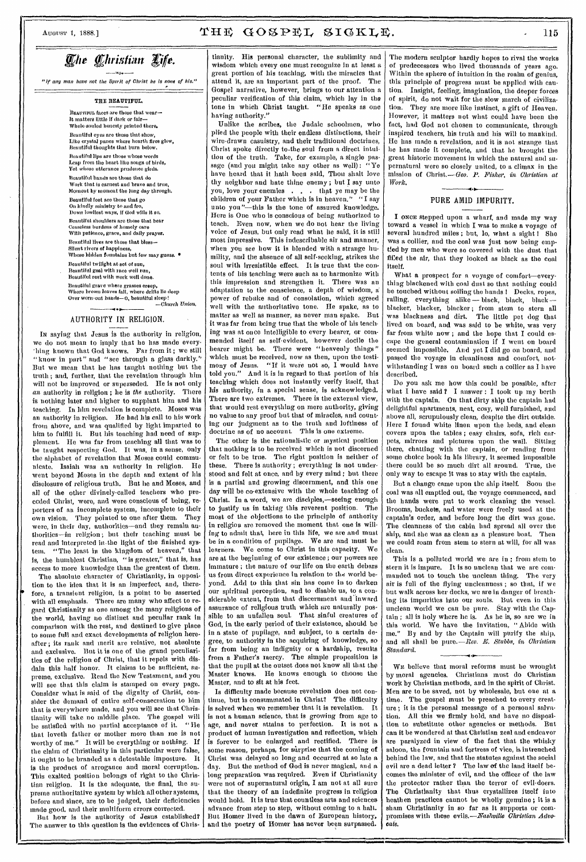### *<i>Che Christian Life.*

"If any man have not the Spirit of Christ he Is none of his."

#### **THE BEAUTIFUL**

BEAUTIFUL faces are those that wear—<br>It matters little if dark or fair— Whole-souled honesty printed there. Beautiful oyes are those that show, Like crystal panes where hearth fires glow, Beautiful thoughts that burn below. Beautiful lips aro those whose words Leap from the heart like songs of birds, Yet whose utterance prudence girds.

Beautiful hands me those that do Work that is earnest and brave and true, Moment by moment the long day through. Beautiful foot are those that go

On kindly ministry to and fro, Down lowliest ways, if Cod wills it so. Beautiful shoulders aro those that bear Ceaseless burdens of homely care With patience, grace, and daily prayer.

Beautiful lives are those that bless—<br>Silent rivers of happiness,<br>Whose hidden fountains but few may guess. ● Beautiful twilight at set of sun,

Beautiful goal with race well run, Beautiful rest with work well done.

Beautiful grave where grasses creep,<br>Where brown leaves fall, where drifts lie deep Over worn-out hands—O<sub>,</sub> beautiful sleep !<br>
-Church Union,<br>
-

### AUTHORITY IN RELIGION.

IN saying that Jesus is the authority in religion, we do not mean to imply that he has made every- 'hing known that God knows. Far from it ; we still "know in part" and "see through a glass darkly." But we mean that he has taught nothing but the truth ; and, further, that the revelation through him will not be improved or superseded. He is not only an authority in religion ; he is *the* authority. There is nothing later and higher to supplant him and his teaching. In him revelation is complete. Moses was an authority in religion. He bad his call to his work from above, and was qualified by light imparted to him to fulfill it. But his teaching had need of supplement. He was far from teaching all that was to be taught respecting God. It was, in a sense, only the alphabet of revelation that Moses could communicate. Isaiah was an authority in religion. He went beyond Moses in the depth and extent of his disclosure of religious truth. But he and Moses, and all of the other divinely-called teachers who preceded Christ, were, and were conscious of being, reporters of an incomplete system, incomplete to their own vision. They pointed to one after them. They were, in their day, authorities—and they remain authorities—in religion ; but their teaching must be read and interpreted in.the light of the finished system. "The least in the kingdom of heaven," that is, the humblest Christian, "is greater," that is, has access to more knowledge than the greatest of them.

The absolute character of Christianity, in opposition to the idea that it is an imperfect, and, therefore, a transient religion, is a point to be asserted with all emphasis. There are many who affect to regard Christianity as one among the many religious of the world, having no distinct and peculiar rank in comparison with the rest, and destined to give place to some full and exact developments of religion hereafter ; its rank and merit are relative, not absolute and exclusive. But it is one of the grand peculiarities of the religion of Christ, that it repels with disdain this half honor. It claims to be sufficient, supreme, exclusive. Read the New Testament, and you will see that this claim is stamped on every page. Consider what is said of the dignity of Christ, consider the demand of entire self-consecration to him that is everywhere made, and you will see that Christianity will take no middle place. The gospel will be satisfied with no partial acceptance of it. " He that loveth father or mother more than me is not worthy of me." It will be everything or nothing. If the claim of Christianity in this particular were false, it ought to be branded as a detestable imposture. It is the product of arrogance and moral corruption. This exalted position belongs of right to the Christian religion. It is the adequate, the final, the supreme authoritative system by which all other systems, before and since, are to be judged, their deficiencies made good, and their multiform errors corrected.

But how is the authority of Jesus established? The answer to this question is the evidences of Christianity. His personal character, the sublimity and wisdom which every one must recognize in at least a *great* portion of his teaching, with the miracles that attend it, are an important part of the proof. The Gospel narrative, however, brings to our attention a peculiar verification of this claim, which lay in the tone in which Christ taught. "He speaks as one having authority."

Unlike the scribes, the Judaic schoolmen, who plied the people with their endless distinctions, their wire-drawn casuistry, and their traditional doctrines, Christ spoke directly to-the soul from a direct intuition of the truth. Take, for example, a single passage (and you might take any other as well): "Ye have beard that it hath been said, Thou shalt love thy neighbor and hate thine enemy ; but I say unto you, love your enemies . . . that ye may be the children of your Father which is in heaven." "I say unto you"-this is the tone of assured knowledge. Here is One who is conscious of being authorized to teach. Even now, when we do not hear the living voice of Jesus, but only read what he said, it is still most impressive. This indescribable air and manner, when you see how it is blended with a strange humility, and the absence of all self-seeking, strikes the soul with irresistible effect. It is true that the contents of his teaching were such as to harmonize with this impression and strengthen it. There was an adaptation to the conscience, a depth of wisdom, a power of rebuke and of consolation, which agreed well with the authoritative tone. He spake, as to matter as well as manner, as never man spake. But it was far from being true that the whole of his teaching was at once intelligible to every hearer, or commended itself as self-evident, however docile the hearer might be. There were "heavenly things" which must be received, now as then, upon the testimony of Jesus. "If it were not so, I would have told you." And it is in regard to that portion of his teaching which does not instantly verify itself, that his authority, in a special sense, is acknowledged. There are two extremes. There is the external view, that would rest everything on mere authority, giving no value to any proof but that of miracles, and counting our judgment as to the truth and loftiness of doctrine as of no account. This is one extreme.

The other is the rationalistic or mystical position that nothing is to be received which is not discerned or felt to be true. The right position is neither of these. There is authority; everything is not understood and felt at once, and by every mind ; but there is a partial and growing discernment, and this one day will be co-extensive with the whole teaching of Christ. In a word, we are disciples,—seeing enough to justify us in taking this reverent position. The most of the objections to the principle of authority in religion are removed the moment that one is willing to admit that, here in this life, we are and must be in a condition of pupilage. We are and must be learners. We come to Christ in this capacity. We are at the beginning of our existence ; our powers are immature ; the nature of our life on the earth debars us from direct experience in relation to the world beyond. Add to this that sin has come in to darken our spiritual perception, and to disable us, to a considerable extent, from that discernment and inward assurance of religious truth which are naturally possible to an unfallen soul. That sinful creatures of God, in the early period of their existence, should be in a state of pupilage, and subject, to a certain degree, to authority in the acquiring of knowledge, so far from being au indignity or a hardship, results from a Father's mercy. The simple proposition is that the pupil at the outset does not know all that the Master knows. He knows enough to choose the Master, and to sit at his feet.

Is difficulty made because revelation does not continue, but is consummated in Christ? The difficulty is solved when we remember that it is revelation. It is not a human science, that is growing from age to age. and never attains to perfection. It is not a age, and never attains to perfection. product of human investigation and reflection, which is forever to be enlarged and rectified. There is some reason, perhaps, for surprise that the coming of Christ was delayed so long and occurred at so late a day. But the method of God is never magical, and a long preparation was required. Even if Christianity were not of supernatural origin, I am not at all sure that the theory of an indefinite progress in religion would hold. It is true that countless arts and sciences advance from step to step, without coming to a halt. But Homer lived in the dawn of European history, and the poetry of Homer has never been surpassed.

The modern sculptor hardly hopes to rival the works of predecessors who lived thousands of years ago. Within the sphere of intuition in the realm of genius, this principle of progress must be applied with caution, Insight, feeling, imagination, the deeper forces of spirit, do not wait for the slow march of civilization. They are more like instinct, a gift of Heaven. However, it matters not what could have been the fact, had God not chosen to communicate, through inspired teachers, his truth and his will to mankind. He has made a revelation, and it is not strange that he has made it complete, and that he brought the great historic movement in which the natural and supernatural were so closely united, to a climax in the mission of Christ.—Geo. *P. Fisher, in Christian at Work.* 

### .1 r PURE AMID IMPURITY.

I ONCE stepped upon a wharf, and made my way toward a vessel in which I was to make a voyage of several hundred miles; but, lo, what a sight ! She was a collier, and the coal was just now being emptied by men who were so covered with the dust that filled the air, that they looked as black as the coal itself.

What a prospect for a voyage of comfort—everything blackened with coal dust so that nothing could be touched without soiling the bands I Decks, ropes, railing, everything alike - black, black, black blacker, blacker, blacker; from stem to stern all was blackness and dirt. The little pet dog that was blackness and dirt. The little pet dog that lived on board, and was said to be white, was very far from white now ; and the hope that I could escape the general contamination if I went on board seemed impossible. And yet I did go on board, and passed the voyage in cleanliness and comfort, notwithstanding I was on board such a collier as I have described.

Do you ask me how this could be possible, after what I have said ? I answer : I took up my berth with the captain. On that dirty ship the captain had delightful apartments, neat, cosy, well furnished, and above all, scrupulously clean, despite the dirt outside. Here I found white linen upon the beds, and elean covers upon the tables ; easy chairs, sofa, rich carpets, mirrors and pictures upon the wall. Sitting there, chatting with the captain, or reading from some choice book in his library, it seemed impossible there could be so much dirt all around. True, the only way to escape it was to stay with the captain.

But a change came upon the ship itself. Soon the coal was all emptied out, the voyage commenced, and the bands were put to work cleaning the vessel. Brooms, buckets, and water were freely used at the captain's order, and before long the dirt was gone. The cleanness of the cabin had spread all over the ship, and she was as clean as a pleasure boat. Then we could roam from stem to stern at will, for all was clean.

This is a polluted world we are in: from stem to stern it is impure. It is so unclean that we are com-<br>manded not to touch the unclean thing. The very manded not to touch the unclean thing. air is full of the flying uncleanness ; so that, if we but walk across her decks, we are in danger of breathing its impurities into our souls. But even in this unclean world we can be pure. Stay with the Captain ; all is holy where he is. As he is, so are we in this world. We have the invitation, " Abide with me." By and by the Captain will purify the ship, and all shall be pure.—Rev. *E. Stubbs, in Christian Standard.* 

WE believe that moral reforms must be wrought by moral agencies. Christians must do Christian work by Christian methods, and in the spirit of Christ. Men are to be saved, not by wholesale, but one at a time. The gospel must be preached to every creature ; it is the personal message of a personal salvation. All this we firmly hold, and have no disposition to substitute other agencies or methods. But can it be wondered at that Christian zeal and endeavor are paralyzed in view of the fact that the whisky saloon, the fountain and fortress of vice, is intrenched behind the law, and that the statutes against the social evil are a dead letter ? The law of the land itself becomes the minister of evil, and the officer of the law the protector rather than the terror of evil-doers. The Christianity that thus crystallizes itself into heathen practices cannot be wholly genuine ; it is a sham Christianity in so far as it supports or compromises with these *evils.—Nashville Christian Advocate.*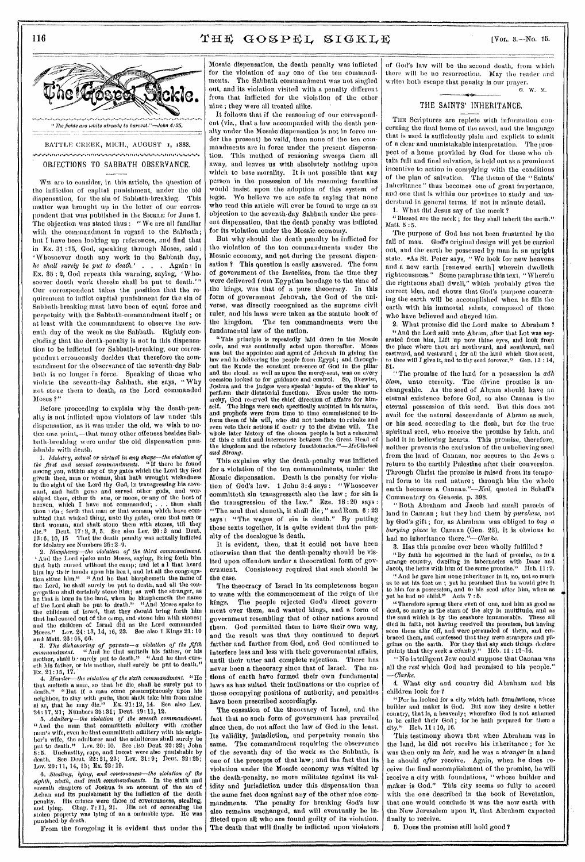

WE are to consider, in this article, the question of the infliction of capital punishment, under the old dispensation, for the sin of Sabbath-breaking. This matter was brought up in the letter of our correspondent that was published in the SICKLE for June 1. The objection was stated thus : "We are all familiar with the commandment in regard to the Sabbath; but I have been looking up references, and find that in Ex. 31 :15, God, speaking through Moses, said : 'Whosoever doeth any work in the Sabbath day, *he shall surely be put to death.' . . .* Again : in Ex. 35 : 2, God repeats this warning, saying, 'Whosoever doeth work therein shall be put to death."" Our correspondent takes the position that the requirement to inflict capital punishment for the sin of Sabbath-breaking must have been of equal force and perpetuity with the Sabbath-commandment itself ; or at least with the commandment to observe the seventh day of the week as the Sabbath. Rightly concluding that the death-penalty is not in this dispensation to be inflicted for Sabbath-breaking, our correspondent erroneously decides that therefore the commandment for the observance of the seventh-day Sabbath is no longer in force. Speaking of those who violate the seventh-day Sabbath, she says, " Why not stone them to death, as the Lord commanded Moses ?"

Before proceeding to explain why the death-penalty is not inflicted upon violators of law under this dispensation, as it was under the old, we wish to notice one point, —that many other offenses besides Sabbath-breaking were under the old dispensation punishable with death.

*1. idolatry, actual or virtual in any shape—the violation of the first and second commandments.* "If there be found among you, within any of thy gates which the Lord thy God giveth thee, man or woman, that bath wrought wickedness in the sight of the Lord thy God, in transgressing his covenant, and hath gone and served other gods, and wor-<br>shiped them, either the sun, or moon, or any of the host of<br>heaven, which I have not commanded; ... then shalt<br>thou rim forth that man or that woman, which have committed that wicked thing, unto thy gates, even that man or<br>that woman, and shalt stone them with stones, till they<br>die." Deut. 17:2, 3, 5. See also Lev. 20:2 and Deut.<br>13:6, 10, 15 That the death penalty was actually infli

for idolatry see Numbers 25: 2–9.<br>
2. *Blasphemy—the violation of the third commandment.*<br>
<sup>1</sup> And the Lord spake unto Moses, saying, Bring forth him<br>
that hath cursed without the camp; and let a 1 that heard him lay their hands upon his hea  $l$ , and let all the congrega-<br>tion stone him." "And he that blasphemeth the name of tion stone him." "And he that blasphemeth the name of the Lord, he shall surely be put to death, and all the congregation shall certainly stone lim; as well the stranger, as he that is born in the land, when he blasphemet Moses." Lev. 24: 13, 14, 16, 23. See also 1 Kings 21:10 and Matt. 26: 65, 66.

3. The dishonoring of parents—a violation of the fifth<br>commandment. "And he that smitteih his father, or his<br>mother, shall be surely put to death." "And he that curs-<br>eth his father, or his mother, shall surely be put to Ex. 21:15, 17.

4. *Murder*—the violation of the sixth commandment. "He that smuths a man, so that he due shall be surely put to death." "But if a man come presumptuously upon his neighbor, to slay with guile, thou shall take him from mi 24: 17, 21; Numbers 35: 31; Deut. 19: 11, 12.

5. Adultery—the violation of the seventh commandment.<br>"And the man that committeen adultery with another man's wife, even he that committeth adultery with his neighbor's wife, the adulteres and the adulteres shall surely death. See Dent. 22:21, 23; Lev. 21:9; Deut. 22:25; Lev. 20:11, 14, 15; Ex. 22: 19.

*6. Stealing, lying, and covetousness—the violation of the and tenth commandments.* In the sixth and seventh chapters of Joshua is au account of the sin of Achim and its punishment by the infliction of the death penalty. His crimes were those of covetousness, stealing, and lying. Chap. 7: 11, 21. His act of concealing the stolen property was lying of an a ominable type. He was punished by death.

From the foregoing it is evident that under the

Mosaic dispensation, the death penalty was inflicted for the violation of any one of the ten command-<br>ments. The Sahbath commandment was not singled The Sahbath commandment was not singled out, and its violation visited with a penalty different from that inflicted for the violation of the other nine ; they were all treated alike.

It follows that if the reasoning of our correspondent (viz., that a law accompanied with the death penalty under the Mosaic dispensation is not in force under the present) be valid, then none of the ten commandments are in force under the present dispensation. This method of reasoning sweeps them all away, and leaves us with absolutely nothing upon which to base morality. It is not possible that any person in the possession of his reasoning faculties would insist upon the adoption of this system of logic. We believe we are safe in saying that none who rend this article will ever be found to urge as an objection to the seventh-day Sabbath under the present dispensation, that the death penalty was inflicted for its violation under the Mosaic economy.

But why should the death penalty be inflicted for the violation of the ten commandments under the Mosaic economy, and not during the present dispensation ? This question is easily answered. The form of government of the Israelites, from the time they were delivered from Egyptian bondage to the time of .the kings, was that of a pure theocracy. In this form of government Jehovah, the God of the universe, was directly recognized as the supreme civil ruler, and his laws were taken as the statute book of the kingdom. The ten commandments were the fundamental law of the nation.

"This principle is repeatedly laid down in the Mosaic code, and was continually acted upon thereafter. Moses was but the appointee and agent of Jehovah in giving the law and in delivering the people from Egypt; and through-out the Exode the constant oreeence of God in the pillar and the cloud, as well as upon the mercy-seat, was on every occasion looked to for guidance and control. So, likewise, Joshua and the judges were special 'legates of the skies' to perform their dictatorial functions. Even under the monarchy, God reserved the chief direction of affairs for himpressure and the chief direction of another are self. The kings were each specifically anointed in his name, self. and prophets were from time to time commissioned to inform them of his will, who did not hesitate to rebuke and<br>even veto their actions if contr ry to the divine will. The<br>whole later history of the closen people is but a rehearsal<br>of this c nflict and intercourse between the *and Strong.* 

This explains why the death-penalty was inflicted for a violation of the ten commandments, under the Mosaic dispensation. Death is the penalty for violation of God's law. 1 John 3:4 says : "Whosoever committeth sin transgresseth also the law ; for sin is the transgression of the law." Eze. 18 :20 says : "The soul that sinneth, it shall die; " and Rom. 6 : 23 says : "The wages of sin is death." By putting these texts together, it is quite evident that the penalty of the decalogue is death.

It is evident, then, that it could not have been otherwise than that the death-penalty should be visited upon offenders under a theocratical form of gov-Consistency required that such should be the case.

The theocracy of Israel in its completeness began to wane with the commencement of the reign of the kings. The people rejected God's direct government over them, and wanted kings, and a form of government resembling that of other nations around them. God permitted them to have their own way, and the result was that they continued to depart farther and farther from God, and God continued to interfere less and less with their governmental affairs, until their utter and complete rejection. There has never been a theocracy since that of Israel. The nations of earth have formed their own fundamental laws as has suited their inclinations or the caprice of those occupying positions of authority, and penalties have been prescribed accordingly.

The cessation of the theocracy of Israel, and the fact that no such form of government has prevailed since then, do pot affect the law of God in the least. Its validity, jurisdiction, and perpetuity remain the same. The commandment requiring the observance of the seventh day of the week as the Sabbath, is one of the precepts of that law ; and the fact that its violation under the Mosaic economy was visited by the death-penalty, no more militates against its validity and jurisdiction under this dispensation than the same fact does against any of the other nine commandments. The penalty for breaking God's law also remains unchanged, and will eventually be inflicted upon all who are found guilty of its violation. The death that will finally be inflicted upon violators

of God's law will be the second death, from which there will be no resurrection. May the reader and writer both escape that penalty is our prayer. .<br>G. W. M.

### THE SAINTS' INHERITANCE.

THE Scriptures are replete with information concerning the final home of the saved, and the language that is used is sufficiently plain and explicit to admit of a clear and unmistakable interpretation. The prospect of a home provided by God for those who obtain full and final salvation, is held out as a prominent incentive to action in complying with the conditions of the plan of salvation. The theme of the "Saints' Inheritance" thus becomes one of great importance, and one that is within our province to study and understand in general terms, if not in minute detail.

1. What did Jesus say of the meek ?

" Blessed are the meek ; for they shall inherit the earth." Matt. 5 :5.

The purpose of God has not been frustrated by the fall of man. God's original design will yet be carried out, and the earth be possessed by man in an upright state. As St. Peter says, "We look for new heavens and a new earth [renewed earth] wherein dwelleth righteousness." Some paraphrase this text, "Wherein the righteous shall dwell," which probably gives the correct idea, and shows that God's purpose concerning the earth will be accomplished when he fills the earth with his immortal saints, composed of those who have believed and obeyed him.

2. What promise did the Lord make to Abraham? "And the Lord said unto Abram; after that Lot was sep-arated from him, Lift up now thine eyes, and look from the place where thou art northward, and southward, and eastward, and westward ; for all the land which thou scest, to thee will I give it, and to thy seed forever." Gen. 13 : 14,

51. " The promise of the land for a possession is *adh olarn,* unto eternity. The divine promise is unchangeable. As the seed of Abram should have an eternal existence before God, so also Canaan is the eternal possession of this seed. But this does not avail for the natural descendants of Abram as such, or his seed according to the flesh, but for the true spiritual seed, who receive the promise by faith, and hold it in believing hearts. This promise, therefore, neither prevents the exclusion of the unbelieving seed from the laud of Canaan, nor secures to the Jews a return to the earthly Palestine after their conversion. Through Christ the promise is raised from its temporal form to its real nature ; through him the whole earth becomes a Canaan."-Keil, quoted in Schaff's Commentary on Genesis, p. 398.

"Both Abraham and Jacob had small parcels of land in Canaan ; but they had them by *purchase,* not by God's gift ; for, as Abraham was obliged to *buy a burying place* in Canaan (Gen. 23), it is obvious lie had no inheritance there."—Clarke.

3. Has this promise ever been wholly fulfilled ?

"By faith he sojourned in the land of promise, as in a strange country, dwelling in tabernacles with Isaac and Jacob, the heirs with him of the same promise." Heb. 11:9.

"And he gave him none inheritance in it, no, not so much as to set hts foot on ; yet he promised that he would give it to him for a possession, and to his seed after him, when as yet he had no child." Acts 7 :5.

"Therefore sprang there even of one, and him as good as dead, so many as the stars of the sky in multitude, and as the sand which is by the seashore innumerable. These all died in faith, not having received the promises, but having seen them afar off, and were persuaded of them, and embraced them, and confessed that they were strangers and pil-grims on the earth. For they that say such things declare plainly that they seek a country." HO. 11 : 12-14.

"No intelligent Jew could suppose that Canaan was all the *rest* which God had promised to his people." *—Clarke.* 

4. What city and country did Abraham and his children look for ? children look for

"For he looked for a city which bath foundations, whose builder and maker is God. But now they desire a better country, that is, a heavenly; wherefore God is riot ashamed to be called their God ; for he bath prepared for them a city." Heb. 11 : 10, 16.

This testimony shows that when Abraham was in the land, he did not receive his inheritance ; for he was then only an *heir,* and he was a *stranger* in a laud he should *after* receive. Again, when he does receive the final accomplishment of the promise, he will receive a city with foundations, "whose builder and maker is God." This city seems so fully to accord with the one described in the book of Revelation, that one would conclude it was the new earth with the New Jerusalem upon it, that Abraham expected finally to receive.

5. Does the promise still hold good ?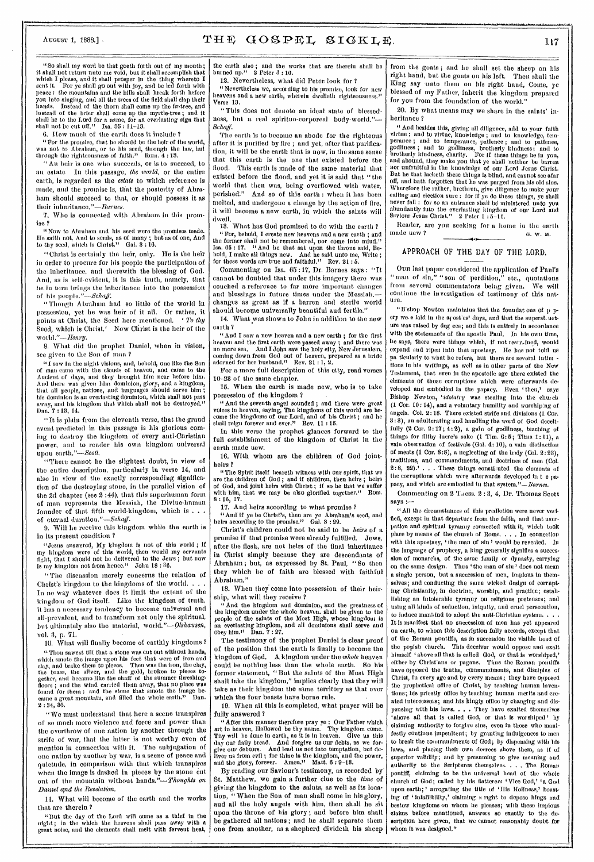- -

.......

# AUGUST 1, 1888.] • THE GOSPEL SIGKLE. 117

"So shall my word be that goeth forth out of my mouth;<br>It shall not return unto me void, but it shall accomplish that<br>which I please, and it shall prosper in the thing whereto I<br>sent it. For ye shall go out with joy, and you into singing, and all the trees of the field shall clap their hands, Instead of the thorn shall come up the fir-tree, and you mee singing, and an encoded some up the fir-tree, and<br>hands. Instead of the brier shall come up the myrtle-tree; and it<br>instead of the brier shall come up the myrtle-tree; and it shall be to the Lord for a mune, for an everlasting sign that shall not be cut off." Isa. 55 : 11-13.

6. liow much of the earth does it include 1

" For the promise, that he should be the heir of the world, was not to Abraham, or to his seed, through the law, hut through the righteousness of faith." Rom.  $4:13$ .

" An heir is one who succeeds, or is to succeed, to an estate. In this passage, *the world,* or the entire earth, is regarded as the *estate* to which reference is made, and the promise is, that the posterity of Abraham should succeed to that, or should possess it as their inheritance."—Barnes.

7. Who is connected with Abraham in this promise ?

" Now to Abraham and his seed were the promises made. He saith not. And to seeds, as of many ; but as of one, And to thy seed, which is Christ." Gal. 3 : 16.

"Christ is certainly the heir, only. He is the heir in order to procure for his people the participation of the inheritance, and therewith the blessing of God. And, as is self-evident, it is this truth, namely, that he in turn brings the inheritance into the possession of his people."-Schaff.

" Though Abraham had so little of the world in possession, yet he was heir of it all. Or rather, it points at Christ, the Seed here mentioned. ` *To thy*  Seed, which is Christ,' Now Christ is the heir of the w *orld."—Howy.* 

8. What did the prophet Daniel, when in vision, see given to the Son of man ?<br>"I saw in the night visions, and, behold, one like the Son

"I saw in the night visions, and, behold, one like the Son of man came with the clouds of heaven, and came to the Ancient of days, and they brought him near before him. that all people, nations, and languages should serve him; And there was given him dominion, glory, and a kingdom, his dominion is an everlasting dominion, which shall not pass<br>away, and his kingdom that which shall not be destroyed." Dan. 7 : 13, 14.

" It is plain from the eleventh verse, that the grand event predicted in this passage is his glorious coming to destroy the kingdom of every anti-Christian power, and to render his own kingdom universal upon earth."—Scott.

"`There cannot be the slightest doubt, in view of the entire description, particularly in verse 14, and also in view of the exactly corresponding signifiestion of the destroying stone, in the parallel vision of the 2d chapter (see 2 :44), that this superhuman form of man represents the Messiah, the Divine-human founder of that fifth world-kingdom, which is. of eternal duration."-Schaff.

9. Will he receive this kingdom while the earth is in its present condition ?

"Jesus answered, My kingdom is not of this world ; if my kingdom were of this world, then would my servants fig ht, that I should not be delivered to the Jews ; but now is my kingdom not from hence." John  $18:36$ .

"The discussion merely concerns the relation of Christ's kingdom to the kingdoms of the world. . . . In no way whatever does it limit the extent of the it has a necessary tendency to become universal and all-prevalent, and to transform not only the spiritual, but ultimately also the material, *world."—DIshausen,*  kingdom of God itself. Like the kingdom of truth, vol. 3, p. 71.<br>10. What will finally become of earthly kingdoms?

10. What will finally become of earthly kingdoms ? "Thou sawest till that a stone was cut out without hands , which smote the image upon his feet that were of Iron and clay, and brake them to pleces. Then was the fron, the clay,<br>the brass, the silver, and the gold, broken to pleces to-<br>gether, and became like the chaff of the summer threshing-<br>floors ; and the wind carried them away, tha  $2:34, 35.$ 

"We must understand that here a scene transpires of so much more violence and force and power than the overthrow of one nation by another through the strife of war, that the latter is not worthy even of mention in connection with it. The subjugation of one nation by another by war, is a scene of peace and quietude, in comparison with that which transpires when the image is dashed in pieces by the stone cut out of the mountain without *hands."—l'houghts on Danzel and the Revelation.* 

11. What will become of the earth and the works that are therein ?

"lint the day of the Lord will come as a thief in the night; in the which the heavens shall pass away with a great noise, and the elements shall melt with fervent heat,

the earth also; and the works that are therein shall be burned up." 2 Peter 3 : 10.

12. Nevertheless, what did Peter look for ? "Nevertheless we, according to his promise, look for new heavens and a new earth, wherein dwelleth righteousness.'

"This does not denote an ideal state of blessedness, but a real spirituo-corporeal body-world."-*Schaf f.* 

The earth is to become an abode for the righteous after it is purified by fire ; and yet, after that purification, it will be the earth that is now, in the same sense that this earth is the one that existed before the flood. This earth is made of the same material that existed before the flood, and yet it is said that "the world that then was, being overflowed with water, perished." And so of this earth : when it has been melted, and undergone a change by the action of fire, it will become a new earth, in. which the saints will dwell.

13. What has God promised to do with the earth ? "For, behold, I create new heavens and a new earth ; and the former shall not be remembered, nor come into mind." Isa. 65 : 17. "And he that sat upon the throne said, Behold, I make all things new. And he said unto me, Write; for these words are true and faithful." Rev. 21 : 5.

Commenting on Isa. 65 :17, Dr. Barnes says : "It cannot be doubted that under this imagery there was couched a reference to far more important changes and blessings in future times under the Messiah. changes as great as if a barren and sterile world should become universally beautiful and fertile."

14. What was shown to John in addition to the new earth?

*"*And I saw a new heaven and a new earth ; for the first heaven and the first earth were passed away ; and there was no more sea. And I John saw the holy city, New Jerusalem, coming down from God out of heaven, prepared as a bride adorned for her husband." Rev. 21 : 1, 2.

For a more full description of this city, read verses <sup>10</sup>-23 of the same chapter.

15. When the earth is made new, who is to take possession of the kingdom ?

"And the seventh angel sounded ; and there were great voices in heaven, saying, The kingdoms of this world are he-come the kingdoms of our Lord, and of his Christ ; and he

In this verse the prophet glances forward to the full establishment of the kingdom of Christ in the earth made new.

16. With whom are the children of God jointheirs ?

"The Spirit itself beareth witness with our spirit, that we are the children of God ; and if children, then heirs ; heirs of God, and joint heirs with Christ ; if so be that we suffer with him, that we may be also glorified together." Rom.  $8:16, 17.$ 

17. And heirs according to what promise ?

" And if ye be Christ's, then are ye Abraham's seed, and heirs according to the promise." Gal. 3 : 29.

Christ's children could not be said to be *heirs* of a promise if that promise were already fulfilled. Jews, after the flesh, are not heirs of the final inheritance in Christ simply because they are descendants of Abraham ; but, as expressed by St. Paul, " So then they which be of faith are blessed with faithful Abraham."

. 18. When they come into possession of their heirship, what will they receive ?

And the kingdom and dominion, and the greatness of the kingdom under the whole heaven. shall be given to the people of the saints of the Most High, whose kingdom is an everlasting kingdom, and all dominions shall serve and obey him." Dan. 7 : 27.

The testimony of the prophet Daniel is clear proof of the position that the earth is finally to become the kingdom of God. A kingdom under the *whole* heaven could be nothing less than the whole earth. So his former statement, "But the saints of the Most High shall take the kingdom," implies clearly that they will take as their kingdom the same territory as that over which the four beasts have borne rule.

19. When all this is completed, what prayer will be fully answered ?

"After this manner therefore pray ye : Our Father which art in heaven, Hallowed be thy name. Thy kingdom come. art in heaven, Hallowed be thy name. Thy kingdom come.<br>Thy will be done in earth, as it is in heaven. Give us this<br>day our daily bread. And forgive us our debts, as we forgive our debtors. And lead ns not into temptation, but de-<br>liver us from evil ; for thine is the kingdom, and the power,<br>and the giory, forever. Amen." Matt. 6 : 9–13.

By reading our Saviour's testimony, as recorded by St. Matthew, we gain a further clue to the *time* of giving the kingdom to the saints, as well as its location, "When the Son of man shall come in his glory, and all the holy angels with him, then shall he sit upon the throne of his glory ; and before him shall be gathered all nations ; and he shall separate them one from another, as a shepherd divideth his sheep

from the goats ; and he shall set the sheep on his right hand, but the goats on his left. Then shall the King say unto them on his right hand, Come, ye blessed of my Father, inherit the kingdom prepared for you from the foundation of the world."

20. By what means may we share in the saints' inheritance  $2$ 

heritance ?<br>" And hesides this, giving all diligence, add to your faith<br>virtne ; and to virtue, knowledge ; and to knowledge, temperance ; and to temperance, pattence ; and to pattence, godtiness; and to godtiness, charity. For if these things le in you, and to brotherly kindness; and to brotherly kindness, charity. For if these things he in you, an But he that lacketh these things is blind, and cannot see afar off, and hath forgotten that he was purged from his old sins. Wherefore the rather, brethren, give diligence to make your calling and election sure : for if ye do these things, ye shall never fall : for so an entrance shall bd ministered unto you abundantly into the everlasting kingdom of our Lord and Saviour Jesus Christ." 2 Peter 1 :5-11.

Reader, are you seeking for a home in the earth made new ?  $\qquad \qquad 6. \text{ W. M.}$ 1.---

### APPROACH OF THE DAY OF THE LORD. HE DAY<br>lered the

Our last paper considered the application of Paul's man of sin," "son of perdition," etc., quotations<br>com several commentators being given. We will from several commentators being given. continue the investigation of testimony of this natore.

"B'shop Newton maintains that the foundat ons of p pery we e laid in the arost es' days, and that the superst uctare was raised by deg ees; and this is entirely in accordance with the statements of the apostle Paul. In his own time, he says, there were things which, if not restrained, would expand and ripen into that apostasy. He has not told us pa ticularly to what he refers, but there are several intim tions in his writings, as well as in other parts of the New Testament, that even in the apostolic age there existed the elements of those corruptions which were afterwards developed and embodied in tho papacy. Even 'then,' says Bishop Newton, *'idolatry* was stealing into the church (1 Cor. 10: 14), and a voluntary humility and worship:ng of angels. Col. 2:18. There existed strife end divisions (1 Cor. 3: 3), an adulterating and handling the word of God deceitfully  $(2 \text{ Cor. } 2: 17; 4: 2)$ , a gain of godliness, teaching of things for filthy lucre's sake  $(1$  Tim.  $6:5$ ; Titus 1: 11), a vain observation of festivals (Gal. 4:10), a vain distinction of meats (1 Cor. 8:8), a neglecting of the body (Col. 2:23), traditions, and commandments, and doctrines of men (Col, 2 : 8, 22).' . . . These things consthuted the elements of the corruptions which were afterwards developed in t e papacy, and which are embodied in that system." $-$ Barnes.

Commenting on 2 Thess. 2: 8, 4, Dr. Thomas Scott says :—

"All the circumstances of this prediction were never veilfled, except in that departure from the faith, and that usurpation and spiritual tyranny connected with it, which took place by means of the church of Rome. . . . In connection with this apostasy, 'the man of sin' would be revealed. In the language of prophecy, a king generally signifies a succession of monarchs, of the same family or dynasty, earrying on the same design. Thus 'the man of sin' does not mean a single person, but a succession of men, impious in themselves; and conducting the same wicked design of corrupting Christianity, in doctrine, worship, and practice; establishing an intolerable tyranny on religious pretenses; and using all kinds of seduction, iniquity, and cruel persecution, to induce mankind to adopt the anti-Christian system. . . . It is manifest that no succession of men has yet appeared ou earth, to whom this description fully accords, except that of the Roman pontiffs, as in succession the visible head of the popish church. This deceiver would oppose and exalt himself 'above all that is called God, or that is worshiped,' either by Christians or pagans. Thus the Roman pontiffs have opposed the truths, commandments, and disciples of Christ, in every age and by every means; they have opposed the prophetical office of Christ, by teaching human inventions; his priestly office by teaching human merits and created intercessors; and his kingly office by changing and dispensin 'above all that is called God, or that is worshiped' by g with his laws. . . . They have exalted themselves claiming authority to forgive sins, even in those who manifestly continue impenitent; by granting indulgences to men to break the commandments of God; by dispensing with his laws, and placing their own decrees above them, as if of superior validity; and by presuming to give meaning and authority to the Scriptures themselves. . . . The Roman pontiff, claiming to be the universal head of the whole church of God; called by his flatterers 'Vice God,' 'a God upon earth;' arrogating the title of 'His Holiness,' boasting of ' infallibility,' claiming a right to depose kings and bestow kingdoms on whom he pleases; with these impious claims before mentioned, answers so exactly to the description here given, that we cannot reasonably doubt for whom it was designed."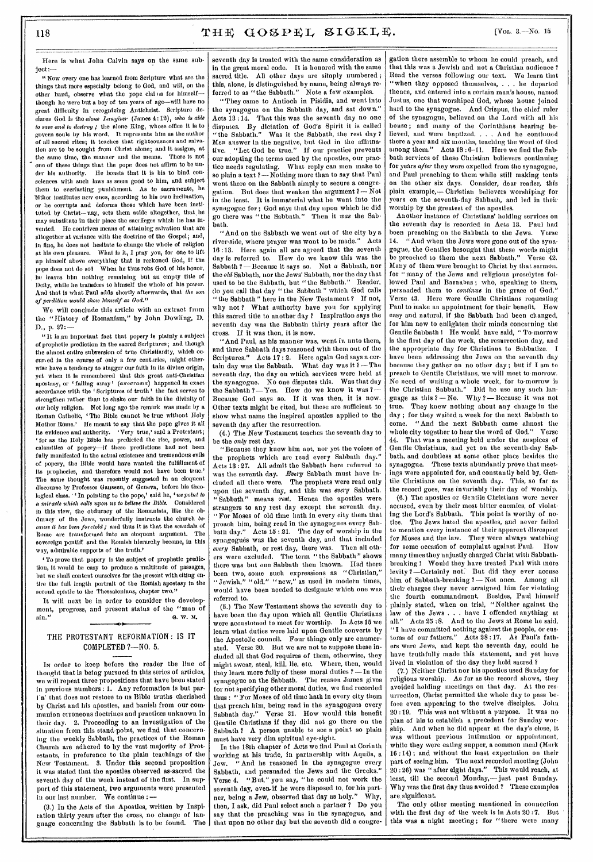IIere is what John Calvin says on the same subjoct:—

"Now every one has learned from Scripture what are the things that more especially belong to God, and will, on the other hand, observe what the pope claims for himselfthough he were but a boy of ten years of age—will have no great difficulty In recognizing Antichrist. Scripture declams God Is the *alone Lawgiver* (James 4:12), *who is able to save and to destroy;* the alone King, whose office it is to govern souls by hie word. It represents him as the author of all sacred rites; it teaches that righteousness and salvation are to be sought from Christ alone; and it assigns, at the same time, the manner and the means. There is not one of these things that the pope does not affirm to be under his authority. He boasts that it is his to bind con-He boasts that it is his to bind consciences with such laws as seem good to him, and subject them to everlasting punishment. **As** to sacraments, he Tither institutes new ones, according to his own inclination, or he corrupts and deforms those which have been instituted by Christ-- nay, sets them aside altogether, that, he may substitute in their place the sacrileges which he has invented. He contrives means of attaining salvation that are altogether at variance with the doctrine of the Gospel; and, in line, he does not hesitate to change the whole of religion at his own pleasure. What is it, I pray you, for one to lift up himself above everything that is reckoned God, if the pope does not do so? When he thus robs God of his honor, Ire leaves him nothing remaining but an empty title of Deity, while he transfers to himself the whole of his power. And that is what Paul adds shortly afterwards, that *the son of perdition would* show *himself as God."* 

We will conclude this article with an extract from the " History of Romanism," by John Dowling, D. D., p. 27:—

"It is an important fact that popery is plainly a subject of prophetic prediction in the sacred Scriptures; and though the almost entire subversion of true Christianity, which occurred in the course of only a few centuries, might otherwise have a tendency to stagger our faith in its divine origin, yet when it is remembered that this great anti-Christian apostasy, or ' falling away'  $(a\pi o\sigma r a\sigma a\sigma)$  happened in exact accordance with the ' Scriptures of truth' the fact serves to strengthen rather than to shake our faith In the divinity of our holy religion. Not long ago the remark was made by a Roman Catholic, 'The Bible cannot be true without Holy Mother Rome.' He meant to say that the pope gives it all its evidence and authority. 'Very true,' said a Protestant; ' for as the Holy Bible has predicted the rise, power, and calamities of popery—if these predictions had not been fully manifested in the actual existence and tremendous evils of popery, the Bible would have wanted the fulfillment of its prophecies, and therefore would not have been true.' The same thought was recently suggested in an eloquent discourse by Professor Gaussen, of Geneva, before his theological class. ' In pointing to the pope,' said he, 'we point to *a miracle which calls upon us to believe the Bible.* Considered in this view, the obduracy of the Romanists, like the ohduracy of the Jews, wonderfully instructs the church *because it has been foretold;* and thus it Is that the scandals of Rome are transformed into an eloquent argument. The sovereign pontiff and the Romish hierarchy become, in this way, admirable supports of the truth.'

' To prove that popery is the subject of prophetic prediction, it would be easy to produce a multitude of passages, but we shall content ourselves for the present with citing entire the full length portrait of the Romish apostasy in the second epistle to the Thessalonians, chapter two."

It will next be in order to consider the development, progress, and present status of the "man of sin." **a.** w. M. G. W. M.

### THE PROTESTANT REFORMATION : IS IT COMPLETED ?—NO. 5.

•

In order to keep before the reader the line of thought that is being pursued in this series of articles, we will repeat three propositions that have been stated in previous numbers : 1. Any reformation is but pari'a' that does not restore to us Bible truths cherished by Christ and his apostles, and banish from our communion erroneous doctrines and practices unknown in their day. 2. Proceeding to an investigation of the situation from this stand-point, we find that concernhug the weekly Sabbath, the practices of the Roman Church are adhered to by the vast majority of Protestants, in preference to the plain teachings of the New Testament. 3. Under this second proposition it was stated that the apostles observed as sacred the seventh day of the week instead of the first. In support of this statement, two arguments were presented in our last number. We continue : —

(3.) In the Acts of the Apostles, written by Inspiration thirty years after the cross, no change of Ianguage concerning the Sabbath is to be found. The

seventh day is treated with the same consideration as in the great moral code. It is honored with the same sacred title. All other days are simply numbered; this, alone, is distinguished by name, being always referred to as "the Sabbath." Note a few examples.

"They came to Antioch in Pisidia, and went into the synagogue on the Sabbath day, and sat down." Acts 13 :14. That this was the seventh day no one disputes. By dictation of God's Spirit it is called "the Sabbath." Was it the Sabbath, the rest day? Men answer in the negative, but God in the affirmna-Live. "Let God be true." If our practice prevents our adopting the terms used by the apostles, our practice needs regulating.What reply can men make to so plain a text  $?$  — Nothing more than to say that Paul went there on the Sabbath simply to secure a congregation. But does that weaken the argument ?— Not in the least. It is immaterial what he went into the synagogue for •; God says that day upon which he did go there was "the Sabbath." Then it *was* the Sab• bath.

" And on the Sabbath we went out of the city by a<br>verside where prayer was wont to be made." Acts river-side, where prayer was wont to be made." 16 :13. Here again all are agreed that the seventh day is referred to. How do we know this was the Sabbath ? — Because it says so. Not *a* Sabbath, nor the *old* Sabbath, nor the Jews' Sabbath, nor the day that used to be the Sabbath. but "the Sabbath." Reader, used to be the Sabbath, but "the Sabbath." do you call that day " the Sabbath " which God calls *"* the Sabbath " here in the New Testament ? If not., why not ? What authority have you for applying this sacred title to another day ? Inspiration says the seventh day was the Sabbath thirty years after the cross. If it was then, it is now.

"And Paul, as his manner was, went in unto them, and three Sabbath days reasoned with them out of the Scriptures." Acts 17 : 2. Here again God says a certain day was the Sabbath. What day was it ? —The seventh day, the day on which services were held at the synagogue. No one disputes this. Was that day the Sabbath  $?$  - Yes. How do we know it was  $?$  -Because God says so. If it was then, it is now. Other texts might be cited, but these are sufficient to show what name the inspired apostles applied to the seventh day after the resurrection.

(4.) The New Testament teaches the seventh day to be the *only* rest day.

"Because they knew him not, nor yet the voices of the prophets which are read every Sabbath day." Acts 13 :27. All admit the Sabbath hore referred to was the seventh day. *Every* Sabbath must have ineluded all there were. The prophets were read only upon the seventh day, and this was *every* Sabbath. "Sabbath" means *rest.* Hence the apostles were strangers to any rest day except the seventh day. "For Moses of old time hath in every city them that preach him, being read in the synagogues every Sabbath day." Acts 15 : 21. The day of worship in the synagogues was the seventh day, and that included *every* Sabbath, or rest day, there was. Then all others were excluded. The term " the Sabbath" shows there was but one Sabbath then known. Had there been two, some such expressions as "Christian," "Jewish," "old," "new," as used in modern times, would have been needed to designate which one was referred to.

(5.) The New Testament shows the seventh day to have been the day upon which all Gentile Christians were accustomed to meet for worship. In Acts 15 we learn what duties were laid upon Gentile converts by the Apostolic council. Four things only are enumer-<br>ated. Verse 20. But we are not to suppose these in-Verse 20. But we are not to suppose these ineluded all that God requires of them, otherwise, they might swear, steal, kill, lie, etc. Where, then, would they learn more fully of these moral duties ? —In the synagogue on the Sabbath. The reason James gives for not specifying other moral duties, we find recorded thus : "For Moses of old time hath in every city them that preach him, being read in the synagogues every Sabbath day." Verse 21. How would this benefit Verse 21. How would this benefit Gentile Christians if they did not go there on the Sabbath ? A person unable to see a point so plain must have very dim spiritual eye-sight.

In the 18th chapter of Acts we find Paul at Corinth working at his trade, in partnership with Aquila, a Jew. "And he reasoned in the synagogue every Sabbath, and persuaded the Jews and the Greeks." Verse 4. "But," you say, "he could not work the seventh day, even if he were disposed to, for his partner, being a Jew, observed that day as holy." Why, then, I ask, did Paul select such a partner ? Do you say that the preaching was in the synagogue, and that upon no other day but the seventh did a congre-

gation there assemble to whom he could preach, and that this was a Jewish and not a Christian audience ? Read the verses following our text. We learn that "when they opposed themselves, . . . he departed thence, and entered into a certain man's house, named Justus, one that worshiped God, whose house joined hard to the synagogue. And Crispus, the chief ruler of the synagogue, believed on the Lord with all his house ; and many of the Corinthians hearing believed, and were baptized. . . . And he continued there a year and six months, teaching the word of God among them." Acts 18:6-11. Here we find the Sabbath services of these Christian believers continuing for years *after* they were expelled from the synagogue, and Paul preaching to them while still making tents on the other six days. Consider, dear reader, this plain example,-Christian believers worshiping for years on the seventh-day Sabbath, and led in their worship by the greatest of the apostles.

Another instance of Christians' holding services on the seventh day is recorded in Acts 13. Paul had been preaching on the Sabbath to the Jews. Verse 14. "And when the Jews were gone out of the synagogue, the Gentiles besought that these words might be preached to them the next Sabbath." Verse 42. Many of them were brought to Christ by that sermon. for "many of the Jews and religious proselytes followed Paul and Barnabas; who, speaking to them, persuaded them to *continue* in the grace of God." Verse 43. Here were Gentile Christians requesting Paul to make an appointment for their benefit. How easy and natural, if the Sabbath had been changed, for him now to enlighten their minds concerning the Gentile Sabbath 1 He would have said, " To-morrow is the first day of the week, the resurrection day, and the appropriate day for Christians to Sabbatize. I have been addressing the Jews on the seventh day because they gather on no other day ; but if I am to preach to Gentile Christians, we will meet to-morrow. No need of waiting a whole week, for to-morrow is the Christian Sabbath." Did he use any such Ianguage as this  $? - No.$  Why  $? - Because$  it was not true. They knew nothing about any change in the day ; for they waited a week for the next Sabbath to come. "And the next Sabbath came almost the whole city together to hear the word of God." Verse whole city together to hear the word of God." That was a meeting held under the auspices of Gentile Christians, and yet on the seventh-day Sabbath, and doubtless at some other place besides the synagogue. These texts abundantly prove that meetings were appointed for, and constantly held by, Gentile Christians on the seventh day. This, so far as the record goes, was invariably their day of worship.

(6.) The apostles or Gentile Christians were never accused, even by their most bitter enemies, of violating the Lord's Sabbath. This point is worthy of notice. The Jews hated the apostles, and never failed to mention every instance of their apparent disrespect for Moses and the law. They were always watching<br>for some occasion of complaint against Paul. How for some occasion of complaint against Paul. many times they unjustly charged Christ with Sabbathbreaking I Would they have treated Paul with more levity ?—Certainly not. But did they ever accuse him of Sabbath-breaking ?- Not once. Among all their charges they never arraigned him for violating the fourth commandment. Besides, Paul himself plainly stated, when on trial, "Neither against the law of the Jews . . . have I offended anything at all." Acts 25:8. And to the Jews at Rome he said, Acts 25 : 8. And to the Jews at Rome he said, "I have committed nothing against the people, or customs of our fathers." Acts 28 : 17. As Paul's fathers were Jews, and kept the seventh day, could he have truthfully made this statement, and yet have lived in violation of the day they held sacred ?

(7.) Neither Christ nor his apostles used Sunday for religious worship. As far as the record shows, they avoided holding meetings on that day. At the resurrection, Christ permitted the whole day to pass before even appearing to the twelve disciples. John 20 :19. This was not without a purpose. It was no plan of his to establish a precedent for Sunday worship. And when he did appear at the day's close, it was without previous intimation or appointment, while they were eating supper, a common meal (Mark 16 :14) ; and without the least expectation on their part of seeing him. The next recorded meeting (John 20 :20) was " after eight days." This would reach, at least, till the second Monday,— just past Sunday. Why was the first day thus avoided ? These examples are-significant.

The only other meeting mentioned in connection with the first day of the week is in Acts 20 :7. But this was a night meeting; for "there were many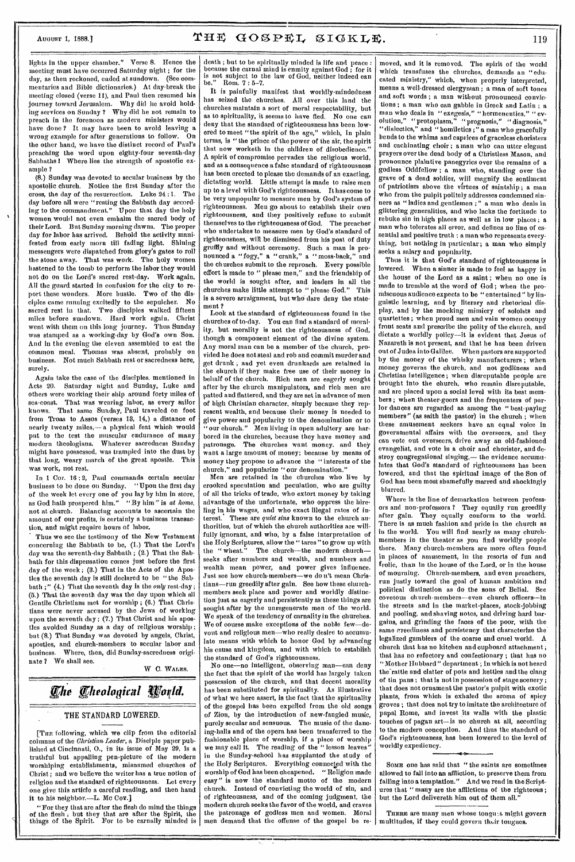lights in the upper chamber." Verse 8. Hence the meeting must have occurred Saturday night ; for the day, as then reckoned, ended at sundown. (See commentaries and Bible dictionaries.) At day-break the meeting closed (verse 11), and Paul then resumed his journey toward Jerusalem. Why did he avoid holding services on Sunday ? Why did he not remain to preach in the forenoon as modern ministers would have done? It may have been to avoid leaving a wrong example for after generations to follow. the other hand, we have the distinct record of Paul's preaching the word upon eighty-four seventh-day<br>Sabbaths! Where lies the strength of apostolic ex-Where lies the strength of apostolic example ?

(8.) Sunday was devoted to secular business by the apostolic church. Notice the first Sunday after the cross, the day of the resurrection. Luke 24 :1. The day before all were "resting the Sabbath day according to the commandment." Upon that day the holy women would not even embalm the sacred body of their Lord. But Sunday morning dawns. The proper day for labor has arrived. Behold the activity manifested from early morn till fading light. Shining messengers were dispatched from glory's gates to roll the stone away. That was work. The holy women hastened to the tomb to perform the labor they would not do on the Lord's sacred rest-day. Work again. All the guard started in confusion for the city to report these wonders. More bustle. Two of the disciples came running excitedly to the sepulcher. No sacred rest in that. Two disciples walked fifteen miles before sundown. Hard work again. Christ went with them on this long journey. Thus Sunday was stamped as a working-day by God's own Son. And in the evening the eleven assembled to eat the common meal. Thomas was absent, probably on business. Not much Sabbath rest or sacredness here, surely.

Again take the case of the disciples, mentioned in Acts 20. Saturday night and Sunday, Luke and others were working their ship around forty miles of sea-coast. That was wearing labor, as every sailor That same Sunday, Paul traveled on foot from Troas to Assos (verses 18, 14,) a distance of nearly twenty miles,— a physical feat which would put to the test the muscular endurance of many modern theologians. Whatever sacredness Sunday might have possessed, was trampled into the dust by that long, weary march of the great apostle. This was work, not rest.

In 1 Cor. 16 : 2, Paul commands certain secular business to be done on Sunday. "Upon the first day of the week let every one of you lay by him in store, as God bath prospered him." "By him" is *at home,*  not at church. Balancing accounts to ascertain the amount of our profits, is certainly a business transaction, and might require hours of labor.

Thus we see the testimony of the New Testament concerning the Sabbath to be, (1.) That the Lord's day was the seventh-day Sabbath ; (2.) That the Sabbath for this dispensation comes just before the first day of the week ; (8.) That in the Acts of the Apostles the seventh day is still declared to be " the Sabbath ;" (4.) That the seventh day is the *only* rest-day ; (5.) That the seventh day was the day upon which all Gentile Christians met for worship ; (6.) That Christians were never accused by the Jews of working upon the seventh day; (7.) That Christ and his apostles avoided Sunday as a day of religious worship ; but (8.) That Sunday was devoted by angels, Christ, apostles, and church-members to secular labor and business. Where, then, did Sunday-sacredness origi-Where, then, did Sunday-sacredness originate ? We shall see.

W C. WALES.

# *The Theological World.*

### THE STANDARD LOWERED.

[Tim following, which we clip from the editorial columns of the *Christian Leader,* a Disciple paper published at Cincinnati, 0., in its issue of May 29, is a truthful but appalling pen-picture of the modern worshiping establishments, misnamed churches of Christ ; and we believe the writer has a true notion of religion and the standard of righteousness. Let every religion and the standard of righteousness. one give this article a careful reading, and then hand it to his neighbor.—L. Mc Cov.]

"For they that are after the flesh do mind the things of the flesh ; but they that are after the Spirit, the things of the Spirit. For to be carnally minded is death ; but to be spiritually minded is life and peace : because the carnal mind is enmity against God ; for it is not subject to the law of God, neither indeed can Rom. 7 : 5-7.

It is painfully manifest that worldly-mindedness has seized the churches. All over this land the churches maintain a sort of moral respectability, but as to spirituality, it seems to have fled. No one can deny that the standard of righteousness has been low-<br>ered to meet "the spirit of the age," which, in plain ered to meet "the spirit of the age," terms, is "the prince of the power of the air, the spirit that now worketh in the children of disobedience.' A spirit of compromise pervades the religious world, and as a consequence a false standard of righteousness has been erected to please the demands of an exacting, dictating world. Little attempt is made to raise men up to a level with God's righteousness. It has come to be very unpopular to measure men by God's system of righteousness. Men go about to establish their own righteousness, and they positively refuse to submit themselves to the righteousness of God. The preacher who undertakes to measure men by God's standard of righteousness, will be dismissed from his post of duty gruffly and without ceremony. Such a man is pronounced a "fogy," a " crank," a " moss-back," and the churches submit to the reproach. Every possible effort is made to " please men," and the friendship of the world is sought after, and leaders in all the churches make little attempt to " please God." This is a severe arraignment, but who dare deny the statement ?

Look at the standard of righteousness found in the churches of to-day. You can find a standard of morality, but morality is not the righteousness of God, though a component element of the divine system. Any moral man can be a member of the church, provided he does not steal and rob and commit murder and get drunk ; and yet even drunkards are retained in the church if they make free use of their money in behalf of the church. Rich men are eagerly sought after by the church manipulators, and rich men arc patted and flattered, and they are set in advance of men of high Christian character, simply because they represent wealth, and because their money is needed to give power and popularity to the denomination or to our church." Men living in open adultery are harbored in the churches, because they have money and patronage. The churches want money, and they want a large amount of money; because by means of money they propose to advance the " interests of the church," and popularize "our denomination."

Men are retained in the churches who live by crooked speculation and peculation, who are guilty of all the tricks of trade, who extort money by taking advantage of the unfortunate, who oppress the hire-Hug in his wages, and who exact illegal rates of interest. These are *quiet sins* known to the church authorities, but of which the church authorities are willfully ignorant, and who, by a false interpretation of the Holy Scriptures, allow the " tares " to grow up with the " wheat." The church—the modern church seeks after numbers and wealth, and numbers and wealth mean power, and power gives influence. Just see how church-memberstians—run greedily after gain. See how these churchmembers seek place and power and worldly distinction just as eagerly and persistently as these things are sought after by the unregenerate men of the world. We speak of the tendency of carnality in the churches. We of course make exceptions of the noble few—de--<br>who really desire to accumulate means with which to honor God by advancing his cause and kingdom, and with which to establish the standard of God's righteousness.

No one—no intelligent, observing man—can deny the fact that the spirit of the world has largely taken possession of the church, and that decent morality<br>has been substituted for spirituality. As illustrative has been substituted for spirituality. of what we here assert, is the fact that the spirituality of the gospel has been expelled from the old songs of Zion, by the introduction of new-fangled music, purely secular and sensuous. The music of the dancing-halls and of the opera has been transferred to the fashionable place of worship, if a place of worship we may call it. The reading of the " lesson leaves" in the Sunday-school has supplanted the study of the Holy Scriptures. Everything connected with the worship of God has been cheapened. "Religion made worship of God has been cheapened. easy" is now the standard motto of the modern church. Instead of convicting the world of sin, and of righteousness, and of the coming judgment, the modern church seeks the favor of the world, and craves the patronage of godless men and women. Moral men demand that the offense of the gospel be re-

moved, and it is removed. The spirit of the world<br>which transfuses the churches, demands an "eduwhich transfuses the churches, demands an cated ministry," which, when properly interpreted, means a well-dressed clergyman ; a man of soft tones and soft words ; a man without pronounced convictions ; a man who can gabble in Greek and Latin ; a man who deals in "exegesis," "hermeneutics." "evolution," "protoplasm," "prognosis," "diagnosis," "dialectics," and "homiletics ;" a man who gracefully bends to the whims and caprices of graceless choristers and cachinating choir; a man who can utter elegant prayers over the dead body of a Christless Mason, and pronounce plaintive panegyrics over the remains of a godless Oddfellow; a man who, standing over the grave of a dead soldier, will magnify the sentiment of patriotism above the virtues of saintship ; a man who from the pulpit politely addresses condemned sinners as "ladies and gentlemen ;" a man who deals in glittering generalities, and who lacks the fortitude to rebuke sin in high places as well as in low places ; a man who tolerates all error, and defines no line of essential and positive truth ; a man who represents everything, but nothing in particular; a man who simply seeks a salary and popularity.

Thus it is that God's standard of righteousness is lowered. When a sinner is made to feel as happy in the house of the Lord as a saint ; when no one is made to tremble at the word of God; when the promiscuous audience expects to be "entertained" by linguistic learning, and by literary and rhetorical display, and by the mocking mimicry of soloists and quartettes ; when proud men and vain women occupy front seats and prescribe the polity of the church, and dictate a worldly policy—it is evident that Jesus of Nazareth is not present, and that he has been driven out of Judea into Galilee. When pastors are supported by the money of the whisky manufacturers ; when money governs the church, and not godliness and Christian intelligence; when disreputable people are brought into the church, who remain disreputable, and are placed upon a social level with its best members ; when theater-goers and the frequenters of parlor dances are regarded as among the " best-paying members" (as saith the pastor) in the church ; when these amusement seekers have an equal voice in governmental affairs with the overseers, and they can vote out overseers, drive away an old-fashioned evangelist, and vote in a choir and chorister, and destroy congregational singing,— the evidence accumulates that God's standard of righteousness has been loWered, and that the spiritual image of the Son of God has been most shamefully marred and shockingly blurred.

Where is the line of demarkation between professors and non-professors ? They equally run greedily after gain. They equally conform to the world. There is as much fashion and pride in the church as in the world. You will find nearly as many churchmembers in the theater as you find worldly people there. Many church-members are more often found in places of amusement, in the resorts of fun and frolic, than in the house of the Lord, or in the house of mourning. Church-members, and even preachers, run justly toward the goal of human ambition and political distinction as do the sons of Bellal. See covetous church-members—even church officers the streets and in the market-places, stock-jobbing and pooling, and shaving notes, and driving hard bargains, and grinding the faces of the poor, with the same greediness and persistency that characterize the legalized gamblers of the coarse and cruel world. A church that has no kitchen and cupboard attachment ; that has no refectory and confectionary ; that has no " Mother Hubbard " department ; in which is not heard the rattle and clatter of pots and kettles and the clang of tin pans : that is not in possession of stage scenery ; that does not ornament the pastor's pulpit with exotic plants, from which is exhaled the aroma of spicy groves ; that does not try to imitate the architecture of papal Rome, and invest its walls with the plastic touches of pagan art—is no church at all, according to the modern conception. And thus the standard of God's righteousness, has been lowered to the level of worldly expediency.

SOME one has said that "the saints are sometimes allowed to fall into an affliction, to preserve them from falling into a temptation." And we read in the Scriptures that "many are the afflictions of the righteous; but the Lord delivereth him out of them all."

THERE are many men whose tongues might govern multitudes, if they could govern their tongnes.